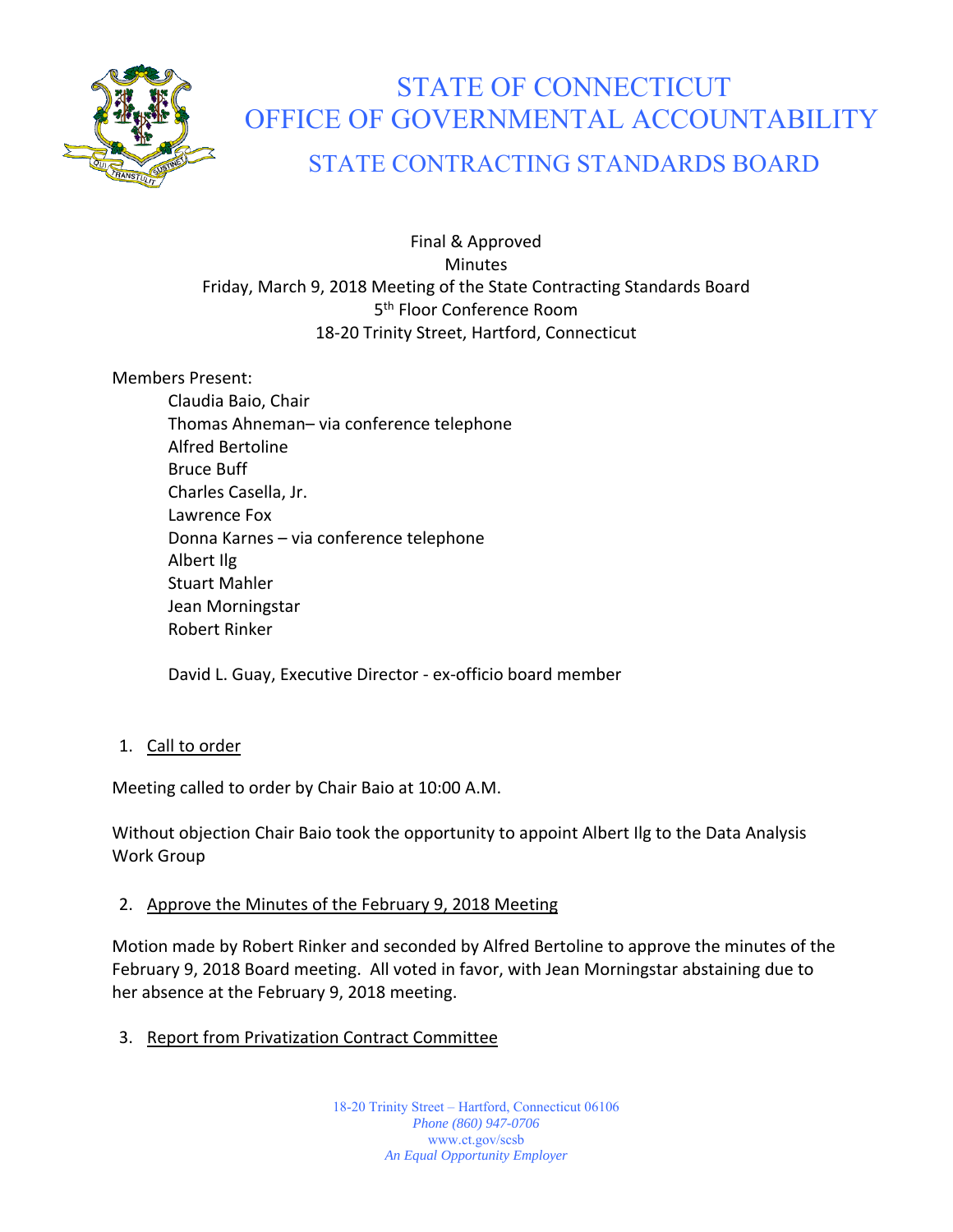

# STATE OF CONNECTICUT OFFICE OF GOVERNMENTAL ACCOUNTABILITY

# STATE CONTRACTING STANDARDS BOARD

Final & Approved Minutes Friday, March 9, 2018 Meeting of the State Contracting Standards Board 5<sup>th</sup> Floor Conference Room 18‐20 Trinity Street, Hartford, Connecticut

Members Present:

Claudia Baio, Chair Thomas Ahneman– via conference telephone Alfred Bertoline Bruce Buff Charles Casella, Jr. Lawrence Fox Donna Karnes – via conference telephone Albert Ilg Stuart Mahler Jean Morningstar Robert Rinker

David L. Guay, Executive Director ‐ ex‐officio board member

#### 1. Call to order

Meeting called to order by Chair Baio at 10:00 A.M.

Without objection Chair Baio took the opportunity to appoint Albert Ilg to the Data Analysis Work Group

# 2. Approve the Minutes of the February 9, 2018 Meeting

Motion made by Robert Rinker and seconded by Alfred Bertoline to approve the minutes of the February 9, 2018 Board meeting. All voted in favor, with Jean Morningstar abstaining due to her absence at the February 9, 2018 meeting.

# 3. Report from Privatization Contract Committee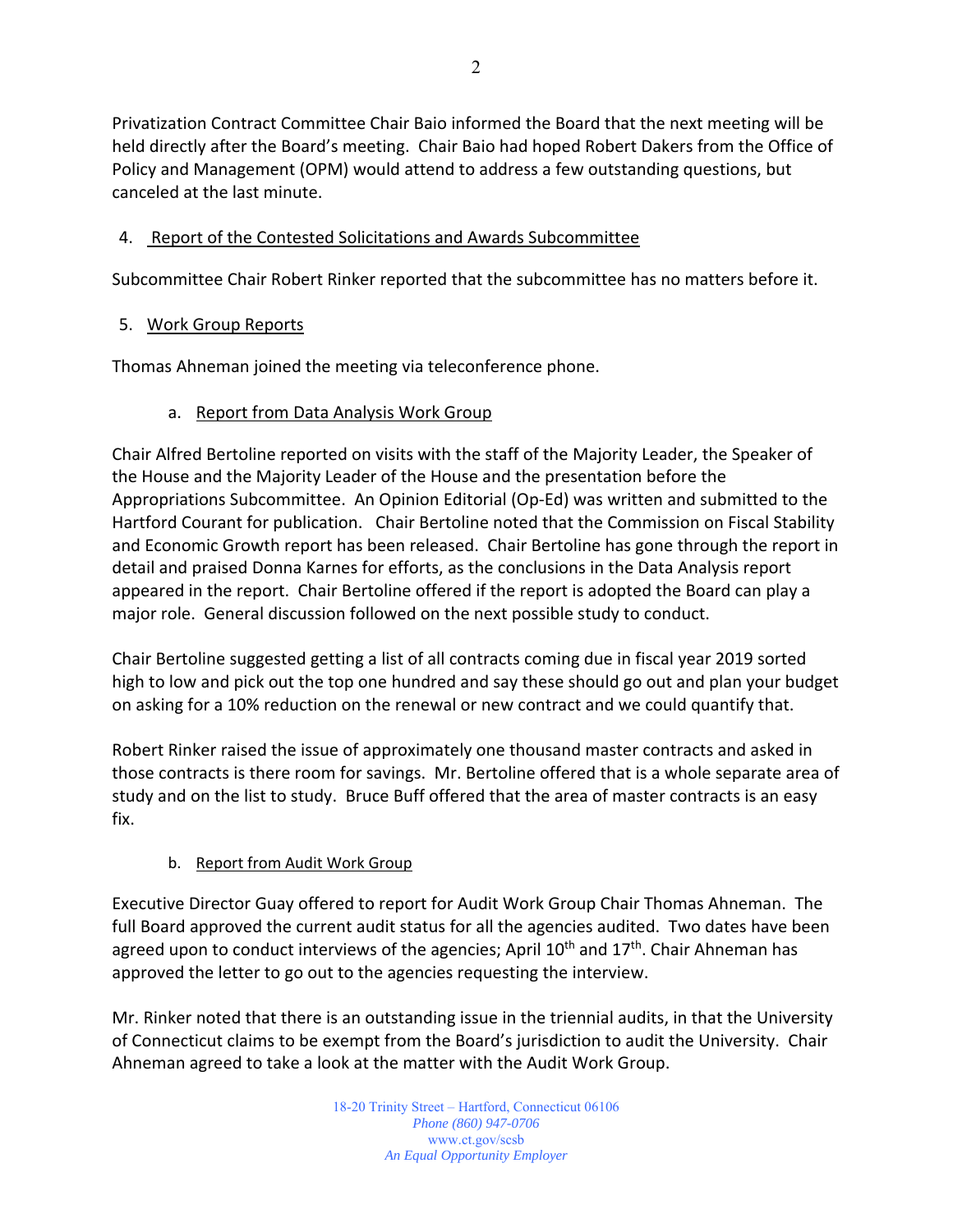Privatization Contract Committee Chair Baio informed the Board that the next meeting will be held directly after the Board's meeting. Chair Baio had hoped Robert Dakers from the Office of Policy and Management (OPM) would attend to address a few outstanding questions, but canceled at the last minute.

## 4. Report of the Contested Solicitations and Awards Subcommittee

Subcommittee Chair Robert Rinker reported that the subcommittee has no matters before it.

## 5. Work Group Reports

Thomas Ahneman joined the meeting via teleconference phone.

## a. Report from Data Analysis Work Group

Chair Alfred Bertoline reported on visits with the staff of the Majority Leader, the Speaker of the House and the Majority Leader of the House and the presentation before the Appropriations Subcommittee. An Opinion Editorial (Op‐Ed) was written and submitted to the Hartford Courant for publication. Chair Bertoline noted that the Commission on Fiscal Stability and Economic Growth report has been released. Chair Bertoline has gone through the report in detail and praised Donna Karnes for efforts, as the conclusions in the Data Analysis report appeared in the report. Chair Bertoline offered if the report is adopted the Board can play a major role. General discussion followed on the next possible study to conduct.

Chair Bertoline suggested getting a list of all contracts coming due in fiscal year 2019 sorted high to low and pick out the top one hundred and say these should go out and plan your budget on asking for a 10% reduction on the renewal or new contract and we could quantify that.

Robert Rinker raised the issue of approximately one thousand master contracts and asked in those contracts is there room for savings. Mr. Bertoline offered that is a whole separate area of study and on the list to study. Bruce Buff offered that the area of master contracts is an easy fix.

#### b. Report from Audit Work Group

Executive Director Guay offered to report for Audit Work Group Chair Thomas Ahneman. The full Board approved the current audit status for all the agencies audited. Two dates have been agreed upon to conduct interviews of the agencies; April  $10<sup>th</sup>$  and  $17<sup>th</sup>$ . Chair Ahneman has approved the letter to go out to the agencies requesting the interview.

Mr. Rinker noted that there is an outstanding issue in the triennial audits, in that the University of Connecticut claims to be exempt from the Board's jurisdiction to audit the University. Chair Ahneman agreed to take a look at the matter with the Audit Work Group.

> 18-20 Trinity Street – Hartford, Connecticut 06106 *Phone (860) 947-0706*  www.ct.gov/scsb *An Equal Opportunity Employer*